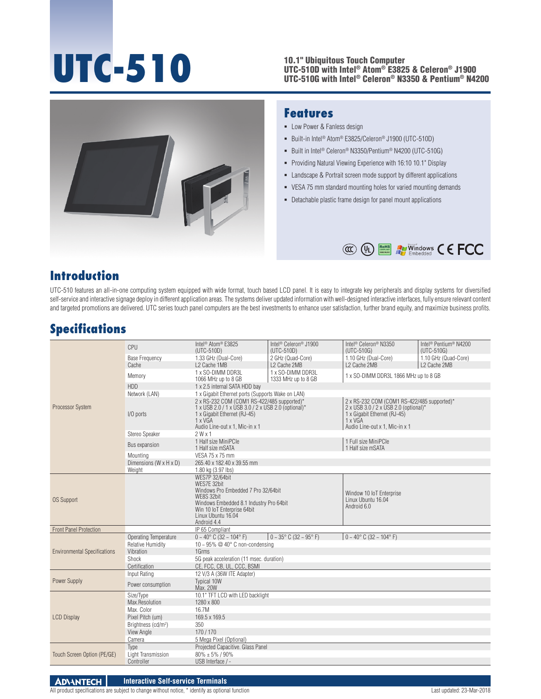# **UTC-510**

#### 10.1" Ubiquitous Touch Computer UTC-510D with Intel® Atom® E3825 & Celeron® J1900 UTC-510G with Intel® Celeron® N3350 & Pentium® N4200



#### **Features**

- **-** Low Power & Fanless design
- Built-in Intel<sup>®</sup> Atom<sup>®</sup> E3825/Celeron<sup>®</sup> J1900 (UTC-510D)
- Built in Intel<sup>®</sup> Celeron<sup>®</sup> N3350/Pentium<sup>®</sup> N4200 (UTC-510G)
- **Providing Natural Viewing Experience with 16:10 10.1" Display**
- Landscape & Portrait screen mode support by different applications
- VESA 75 mm standard mounting holes for varied mounting demands
- Detachable plastic frame design for panel mount applications



### **Introduction**

UTC-510 features an all-in-one computing system equipped with wide format, touch based LCD panel. It is easy to integrate key peripherals and display systems for diversified self-service and interactive signage deploy in different application areas. The systems deliver updated information with well-designed interactive interfaces, fully ensure relevant content and targeted promotions are delivered. UTC series touch panel computers are the best investments to enhance user satisfaction, further brand equity, and maximize business profits.

## **Specifications**

| Processor System                    | CPU                                                 | Intel <sup>®</sup> Atom <sup>®</sup> E3825<br>(UTC-510D)                                                                                                                                                 | Intel <sup>®</sup> Celeron <sup>®</sup> J1900<br>(UTC-510D) | Intel <sup>®</sup> Celeron <sup>®</sup> N3350<br>$(UTC-510G)$                                                                                                            | Intel <sup>®</sup> Pentium <sup>®</sup> N4200<br>(UTC-510G) |
|-------------------------------------|-----------------------------------------------------|----------------------------------------------------------------------------------------------------------------------------------------------------------------------------------------------------------|-------------------------------------------------------------|--------------------------------------------------------------------------------------------------------------------------------------------------------------------------|-------------------------------------------------------------|
|                                     | <b>Base Frequency</b>                               | 1.33 GHz (Dual-Core)                                                                                                                                                                                     | 2 GHz (Quad-Core)                                           | 1.10 GHz (Dual-Core)                                                                                                                                                     | 1.10 GHz (Quad-Core)                                        |
|                                     | Cache                                               | L2 Cache 1MB                                                                                                                                                                                             | L2 Cache 2MB                                                | L2 Cache 2MB                                                                                                                                                             | L2 Cache 2MB                                                |
|                                     | Memory                                              | 1 x SO-DIMM DDR3L<br>1066 MHz up to 8 GB                                                                                                                                                                 | 1 x SO-DIMM DDR3L<br>1333 MHz up to 8 GB                    | 1 x SO-DIMM DDR3L 1866 MHz up to 8 GB                                                                                                                                    |                                                             |
|                                     | <b>HDD</b>                                          | 1 x 2.5 internal SATA HDD bay                                                                                                                                                                            |                                                             |                                                                                                                                                                          |                                                             |
|                                     | Network (LAN)                                       | 1 x Gigabit Ethernet ports (Supports Wake on LAN)                                                                                                                                                        |                                                             |                                                                                                                                                                          |                                                             |
|                                     | $I/O$ ports                                         | 2 x RS-232 COM (COM1 RS-422/485 supported)*<br>1 x USB 2.0 / 1 x USB 3.0 / 2 x USB 2.0 (optional)*<br>1 x Gigabit Ethernet (RJ-45)<br>$1 \times VGA$<br>Audio Line-out x 1, Mic-in x 1                   |                                                             | 2 x RS-232 COM (COM1 RS-422/485 supported)*<br>2 x USB 3.0 / 2 x USB 2.0 (optional)*<br>1 x Gigabit Ethernet (RJ-45)<br>$1 \times VGA$<br>Audio Line-out x 1. Mic-in x 1 |                                                             |
|                                     | Stereo Speaker                                      | $2$ W $\times$ 1                                                                                                                                                                                         |                                                             |                                                                                                                                                                          |                                                             |
|                                     | Bus expansion                                       | 1 Half size MiniPCle<br>1 Half size mSATA                                                                                                                                                                |                                                             | 1 Full size MiniPCle<br>1 Half size mSATA                                                                                                                                |                                                             |
|                                     | Mountina                                            | VESA 75 x 75 mm                                                                                                                                                                                          |                                                             |                                                                                                                                                                          |                                                             |
|                                     | Dimensions (W x H x D)                              | 265.40 x 182.40 x 39.55 mm                                                                                                                                                                               |                                                             |                                                                                                                                                                          |                                                             |
|                                     | Weight                                              | 1.80 kg (3.97 lbs)                                                                                                                                                                                       |                                                             |                                                                                                                                                                          |                                                             |
| <b>OS Support</b>                   |                                                     | <b>WES7P 32/64bit</b><br>WES7E 32bit<br>Windows Pro Embedded 7 Pro 32/64bit<br>WE8S 32bit<br>Windows Embedded 8.1 Industry Pro 64bit<br>Win 10 IoT Enterprise 64bit<br>Linux Ubuntu 16.04<br>Android 4.4 |                                                             | Window 10 IoT Enterprise<br>Linux Ubuntu 16.04<br>Android 6.0                                                                                                            |                                                             |
| <b>Front Panel Protection</b>       |                                                     | IP 65 Compliant                                                                                                                                                                                          |                                                             |                                                                                                                                                                          |                                                             |
|                                     | Operating Temperature                               | $0 \sim 40^{\circ}$ C (32 $\sim 104^{\circ}$ F)                                                                                                                                                          | $0 - 35^{\circ}$ C (32 ~ 95° F)                             | $0 \sim 40^{\circ}$ C (32 ~ 104° F)                                                                                                                                      |                                                             |
|                                     | <b>Relative Humidity</b>                            | 10 ~ 95% $@$ 40 $°$ C non-condensing                                                                                                                                                                     |                                                             |                                                                                                                                                                          |                                                             |
| <b>Environmental Specifications</b> | Vibration                                           | 1Grms                                                                                                                                                                                                    |                                                             |                                                                                                                                                                          |                                                             |
|                                     | Shock                                               | 5G peak acceleration (11 msec. duration)                                                                                                                                                                 |                                                             |                                                                                                                                                                          |                                                             |
|                                     | Certification                                       | CE. FCC. CB. UL. CCC. BSMI                                                                                                                                                                               |                                                             |                                                                                                                                                                          |                                                             |
| Power Supply                        | Input Rating                                        | 12 V/3 A (36W ITE Adapter)                                                                                                                                                                               |                                                             |                                                                                                                                                                          |                                                             |
|                                     | Power consumption                                   | Typical 10W<br>Max. 20W                                                                                                                                                                                  |                                                             |                                                                                                                                                                          |                                                             |
| <b>LCD Display</b>                  | Size/Type                                           | 10.1" TFT LCD with LED backlight                                                                                                                                                                         |                                                             |                                                                                                                                                                          |                                                             |
|                                     | Max.Resolution                                      | 1280 x 800                                                                                                                                                                                               |                                                             |                                                                                                                                                                          |                                                             |
|                                     | Max. Color                                          | 16.7M                                                                                                                                                                                                    |                                                             |                                                                                                                                                                          |                                                             |
|                                     | Pixel Pitch (um)<br>Brightness (cd/m <sup>2</sup> ) | 169.5 x 169.5<br>350                                                                                                                                                                                     |                                                             |                                                                                                                                                                          |                                                             |
|                                     | View Angle                                          | 170/170                                                                                                                                                                                                  |                                                             |                                                                                                                                                                          |                                                             |
|                                     | Camera                                              | 5 Mega Pixel (Optional)                                                                                                                                                                                  |                                                             |                                                                                                                                                                          |                                                             |
|                                     | Type                                                | Projected Capacitive. Glass Panel                                                                                                                                                                        |                                                             |                                                                                                                                                                          |                                                             |
| Touch Screen Option (PE/GE)         | Light Transmission                                  | $80\% \pm 5\%$ / 90%                                                                                                                                                                                     |                                                             |                                                                                                                                                                          |                                                             |
|                                     | Controller                                          | USB Interface / -                                                                                                                                                                                        |                                                             |                                                                                                                                                                          |                                                             |

**ADVANTECH Interactive Self-service Terminals**

All product specifications are subject to change without notice, \* identify as optional function Last updated: 23-Mar-2018